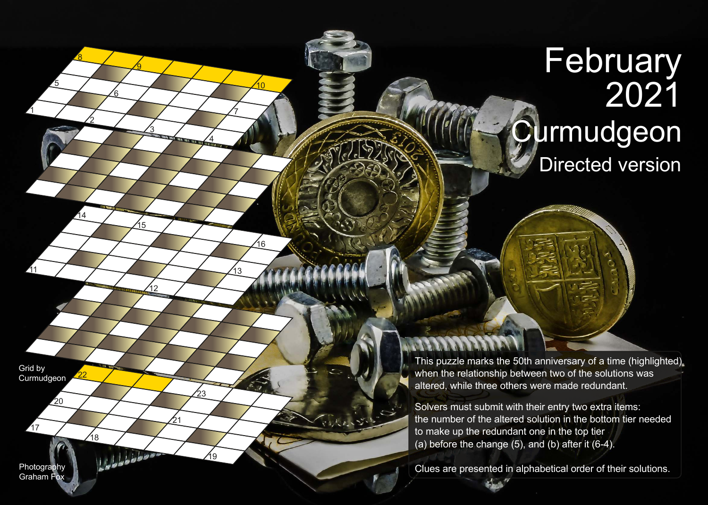## **February** 2021 **Curmudgeon** Directed version

This puzzle marks the 50th anniversary of a time (highlighted) when the relationship between two of the solutions was altered, while three others were made redundant.

Solvers must submit with their entry two extra items: the number of the altered solution in the bottom tier needed to make up the redundant one in the top tier (a) before the change  $(5)$ , and  $(b)$  after it  $(6-4)$ .

Clues are presented in alphabetical order of their solutions.

Grid by **Curmudgeon** 

17

11

1

5

8

2

3

15

12

10

7

13

4

19

23

21

16

<u>ପ</u>

6

Photography Graham Fox

18

Lobbidos.

22

14

 $20$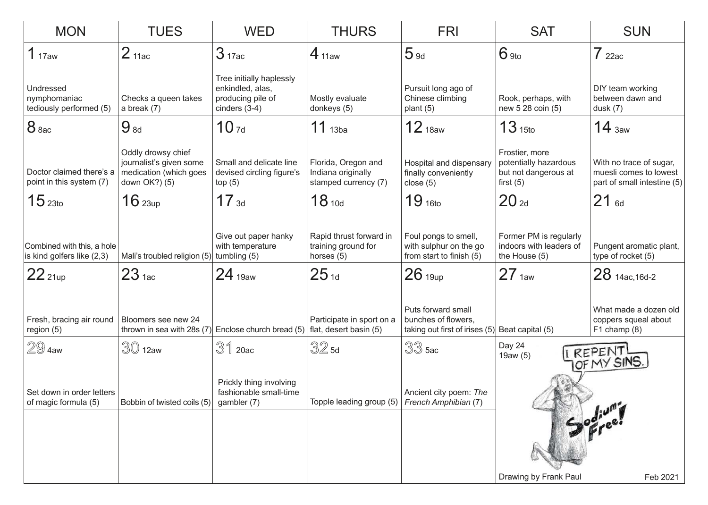| <b>MON</b>                                                                    | <b>TUES</b>                                                    | <b>WED</b>                                                                           | <b>THURS</b>                                                      | <b>FRI</b>                                                                  | <b>SAT</b>                                                                     | <b>SUN</b>                                                                       |
|-------------------------------------------------------------------------------|----------------------------------------------------------------|--------------------------------------------------------------------------------------|-------------------------------------------------------------------|-----------------------------------------------------------------------------|--------------------------------------------------------------------------------|----------------------------------------------------------------------------------|
| 1 <sub>17aw</sub>                                                             | 2 <sub>11ac</sub>                                              | 3 <sub>17ac</sub>                                                                    | $4_{11aw}$                                                        | 5 <sub>9d</sub>                                                             | $6$ 9to                                                                        | $7$ 22ac                                                                         |
| Undressed<br>nymphomaniac<br>tediously performed (5)                          | Checks a queen takes<br>a break $(7)$                          | Tree initially haplessly<br>enkindled, alas,<br>producing pile of<br>cinders $(3-4)$ | Mostly evaluate<br>donkeys (5)                                    | Pursuit long ago of<br>Chinese climbing<br>plant $(5)$                      | Rook, perhaps, with<br>new 5 28 coin (5)                                       | DIY team working<br>between dawn and<br>dusk(7)                                  |
| 8 <sub>8ac</sub>                                                              | $9_{8d}$                                                       | 10 <sub>7d</sub>                                                                     | $11$ <sub>13ba</sub>                                              | 12 <sub>18aw</sub>                                                          | 13 <sub>15to</sub>                                                             | $14_{\text{3aw}}$                                                                |
| Doctor claimed there's a   medication (which goes<br>point in this system (7) | Oddly drowsy chief<br>journalist's given some<br>down OK?) (5) | Small and delicate line<br>devised circling figure's<br>top(5)                       | Florida, Oregon and<br>Indiana originally<br>stamped currency (7) | Hospital and dispensary<br>finally conveniently<br>close $(5)$              | Frostier, more<br>potentially hazardous<br>but not dangerous at<br>first $(5)$ | With no trace of sugar,<br>muesli comes to lowest<br>part of small intestine (5) |
| 15 <sub>23to</sub>                                                            | $16$ 23up                                                      | $17_{3d}$                                                                            | 18 <sub>10d</sub>                                                 | 19 <sub>16to</sub>                                                          | 20 <sub>2d</sub>                                                               | $21_{6d}$                                                                        |
| Combined with this, a hole<br>is kind golfers like (2,3)                      | Mali's troubled religion (5)                                   | Give out paper hanky<br>with temperature<br>tumbling (5)                             | Rapid thrust forward in<br>training ground for<br>horses $(5)$    | Foul pongs to smell,<br>with sulphur on the go<br>from start to finish (5)  | Former PM is regularly<br>indoors with leaders of<br>the House (5)             | Pungent aromatic plant,<br>type of rocket (5)                                    |
| $22$ 21up                                                                     | 23 <sub>1ac</sub>                                              | 24 <sub>19aw</sub>                                                                   | $25_{1d}$                                                         | $26$ 19up                                                                   | 27 <sub>1aw</sub>                                                              | $28$ 14ac, 16d-2                                                                 |
| Fresh, bracing air round<br>region (5)                                        | Bloomers see new 24<br>thrown in sea with 28s (7)              | Enclose church bread (5)                                                             | Participate in sport on a<br>flat, desert basin (5)               | Puts forward small<br>bunches of flowers,<br>taking out first of irises (5) | Beat capital (5)                                                               | What made a dozen old<br>coppers squeal about<br>$F1$ champ $(8)$                |
| $\Z \mathbb{9}$ 4aw                                                           | $30$ 12aw                                                      | $31$ 20ac                                                                            | $32$ 5d                                                           | $33$ 5ac                                                                    | Day 24<br>19aw (5)                                                             |                                                                                  |
| Set down in order letters<br>of magic formula (5)                             | Bobbin of twisted coils (5)                                    | Prickly thing involving<br>fashionable small-time<br>gambler (7)                     | Topple leading group (5)                                          | Ancient city poem: The<br>French Amphibian (7)                              | I REPENT                                                                       |                                                                                  |
|                                                                               |                                                                |                                                                                      |                                                                   |                                                                             | Drawing by Frank Paul                                                          | Feb 2021                                                                         |